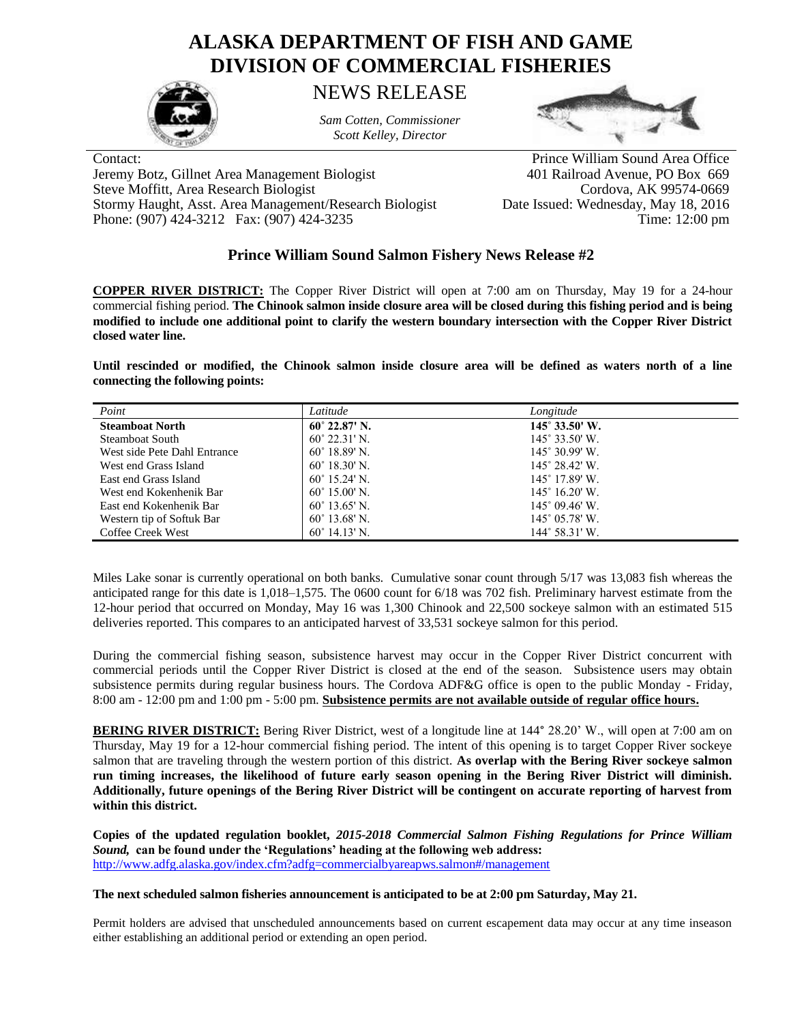## **ALASKA DEPARTMENT OF FISH AND GAME DIVISION OF COMMERCIAL FISHERIES**



NEWS RELEASE

*Sam Cotten, Commissioner Scott Kelley, Director*



Jeremy Botz, Gillnet Area Management Biologist 401 Railroad Avenue, PO Box 669 Steve Moffitt, Area Research Biologist Cordova, AK 99574-0669 Stormy Haught, Asst. Area Management/Research Biologist Date Issued: Wednesday, May 18, 2016

Contact: Prince William Sound Area Office Phone: (907) 424-3212 Fax: (907) 424-3235 Time: 12:00 pm

## **Prince William Sound Salmon Fishery News Release #2**

**COPPER RIVER DISTRICT:** The Copper River District will open at 7:00 am on Thursday, May 19 for a 24-hour commercial fishing period. **The Chinook salmon inside closure area will be closed during this fishing period and is being modified to include one additional point to clarify the western boundary intersection with the Copper River District closed water line.** 

**Until rescinded or modified, the Chinook salmon inside closure area will be defined as waters north of a line connecting the following points:**

| Point                        | Latitude               | Longitude                      |
|------------------------------|------------------------|--------------------------------|
| <b>Steamboat North</b>       | $60^{\circ}$ 22.87' N. | $145^{\circ} 33.50^{\circ}$ W. |
| Steamboat South              | $60^{\circ}$ 22.31' N. | $145^{\circ}$ 33.50' W.        |
| West side Pete Dahl Entrance | $60^{\circ}$ 18.89' N. | $145^{\circ}$ 30.99' W.        |
| West end Grass Island        | $60^{\circ}$ 18.30' N. | $145^\circ 28.42'$ W.          |
| East end Grass Island        | $60^{\circ}$ 15.24' N  | $145^{\circ}$ 17.89' W.        |
| West end Kokenhenik Bar      | $60^{\circ}$ 15.00' N. | $145^{\circ}$ 16.20' W.        |
| East end Kokenhenik Bar      | $60^{\circ}$ 13.65' N. | $145^{\circ}$ 09.46' W.        |
| Western tip of Softuk Bar    | $60^{\circ}$ 13.68' N. | $145^{\circ}$ 05.78' W.        |
| Coffee Creek West            | $60^{\circ}$ 14.13' N. | $144^{\circ}$ 58.31' W.        |

Miles Lake sonar is currently operational on both banks. Cumulative sonar count through 5/17 was 13,083 fish whereas the anticipated range for this date is 1,018–1,575. The 0600 count for 6/18 was 702 fish. Preliminary harvest estimate from the 12-hour period that occurred on Monday, May 16 was 1,300 Chinook and 22,500 sockeye salmon with an estimated 515 deliveries reported. This compares to an anticipated harvest of 33,531 sockeye salmon for this period.

During the commercial fishing season, subsistence harvest may occur in the Copper River District concurrent with commercial periods until the Copper River District is closed at the end of the season. Subsistence users may obtain subsistence permits during regular business hours. The Cordova ADF&G office is open to the public Monday - Friday, 8:00 am - 12:00 pm and 1:00 pm - 5:00 pm. **Subsistence permits are not available outside of regular office hours.**

**BERING RIVER DISTRICT:** Bering River District, west of a longitude line at 144° 28.20' W., will open at 7:00 am on Thursday, May 19 for a 12-hour commercial fishing period. The intent of this opening is to target Copper River sockeye salmon that are traveling through the western portion of this district. **As overlap with the Bering River sockeye salmon run timing increases, the likelihood of future early season opening in the Bering River District will diminish. Additionally, future openings of the Bering River District will be contingent on accurate reporting of harvest from within this district.**

**Copies of the updated regulation booklet,** *2015-2018 Commercial Salmon Fishing Regulations for Prince William Sound,* **can be found under the 'Regulations' heading at the following web address:** <http://www.adfg.alaska.gov/index.cfm?adfg=commercialbyareapws.salmon#/management>

## **The next scheduled salmon fisheries announcement is anticipated to be at 2:00 pm Saturday, May 21.**

Permit holders are advised that unscheduled announcements based on current escapement data may occur at any time inseason either establishing an additional period or extending an open period.